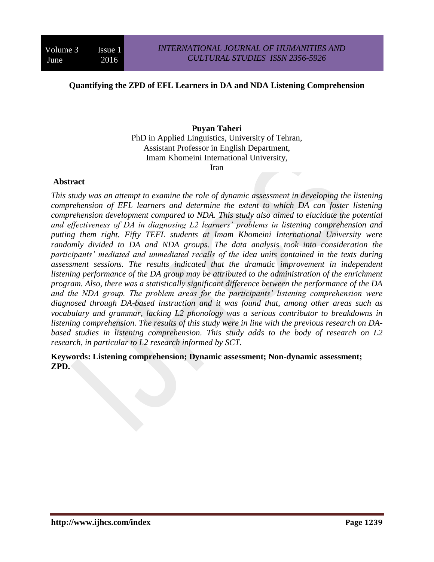#### **Quantifying the ZPD of EFL Learners in DA and NDA Listening Comprehension**

#### **Puyan Taheri**

PhD in Applied Linguistics, University of Tehran, Assistant Professor in English Department, Imam Khomeini International University,

Iran

#### **Abstract**

*This study was an attempt to examine the role of dynamic assessment in developing the listening comprehension of EFL learners and determine the extent to which DA can foster listening comprehension development compared to NDA. This study also aimed to elucidate the potential and effectiveness of DA in diagnosing L2 learners' problems in listening comprehension and putting them right. Fifty TEFL students at Imam Khomeini International University were randomly divided to DA and NDA groups. The data analysis took into consideration the participants' mediated and unmediated recalls of the idea units contained in the texts during assessment sessions. The results indicated that the dramatic improvement in independent listening performance of the DA group may be attributed to the administration of the enrichment program. Also, there was a statistically significant difference between the performance of the DA and the NDA group. The problem areas for the participants' listening comprehension were diagnosed through DA-based instruction and it was found that, among other areas such as vocabulary and grammar, lacking L2 phonology was a serious contributor to breakdowns in listening comprehension. The results of this study were in line with the previous research on DAbased studies in listening comprehension. This study adds to the body of research on L2 research, in particular to L2 research informed by SCT.*

**Keywords: Listening comprehension; Dynamic assessment; Non-dynamic assessment; ZPD.**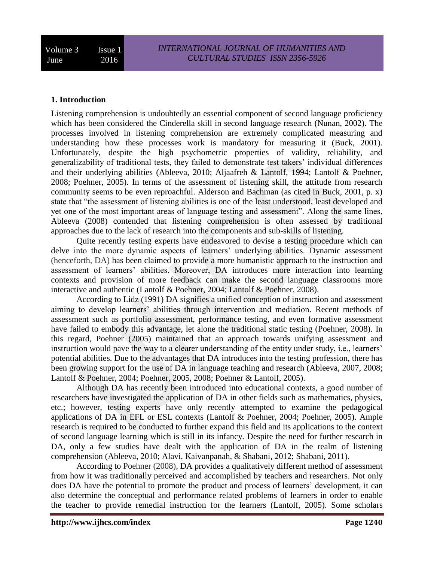# **1. Introduction**

Listening comprehension is undoubtedly an essential component of second language proficiency which has been considered the Cinderella skill in second language research (Nunan, 2002). The processes involved in listening comprehension are extremely complicated measuring and understanding how these processes work is mandatory for measuring it (Buck, 2001). Unfortunately, despite the high psychometric properties of validity, reliability, and generalizability of traditional tests, they failed to demonstrate test takers' individual differences and their underlying abilities (Ableeva, 2010; Aljaafreh & Lantolf, 1994; Lantolf & Poehner, 2008; Poehner, 2005). In terms of the assessment of listening skill, the attitude from research community seems to be even reproachful. Alderson and Bachman (as cited in Buck, 2001, p. x) state that "the assessment of listening abilities is one of the least understood, least developed and yet one of the most important areas of language testing and assessment". Along the same lines, Ableeva (2008) contended that listening comprehension is often assessed by traditional approaches due to the lack of research into the components and sub-skills of listening.

Quite recently testing experts have endeavored to devise a testing procedure which can delve into the more dynamic aspects of learners' underlying abilities. Dynamic assessment (henceforth, DA) has been claimed to provide a more humanistic approach to the instruction and assessment of learners' abilities. Moreover, DA introduces more interaction into learning contexts and provision of more feedback can make the second language classrooms more interactive and authentic (Lantolf & Poehner, 2004; Lantolf & Poehner, 2008).

According to Lidz (1991) DA signifies a unified conception of instruction and assessment aiming to develop learners' abilities through intervention and mediation. Recent methods of assessment such as portfolio assessment, performance testing, and even formative assessment have failed to embody this advantage, let alone the traditional static testing (Poehner, 2008). In this regard, Poehner (2005) maintained that an approach towards unifying assessment and instruction would pave the way to a clearer understanding of the entity under study, i.e., learners' potential abilities. Due to the advantages that DA introduces into the testing profession, there has been growing support for the use of DA in language teaching and research (Ableeva, 2007, 2008; Lantolf & Poehner, 2004; Poehner, 2005, 2008; Poehner & Lantolf, 2005).

Although DA has recently been introduced into educational contexts, a good number of researchers have investigated the application of DA in other fields such as mathematics, physics, etc.; however, testing experts have only recently attempted to examine the pedagogical applications of DA in EFL or ESL contexts (Lantolf & Poehner, 2004; Poehner, 2005). Ample research is required to be conducted to further expand this field and its applications to the context of second language learning which is still in its infancy. Despite the need for further research in DA, only a few studies have dealt with the application of DA in the realm of listening comprehension (Ableeva, 2010; Alavi, Kaivanpanah, & Shabani*,* 2012; Shabani, 2011).

According to Poehner (2008), DA provides a qualitatively different method of assessment from how it was traditionally perceived and accomplished by teachers and researchers. Not only does DA have the potential to promote the product and process of learners' development, it can also determine the conceptual and performance related problems of learners in order to enable the teacher to provide remedial instruction for the learners (Lantolf, 2005). Some scholars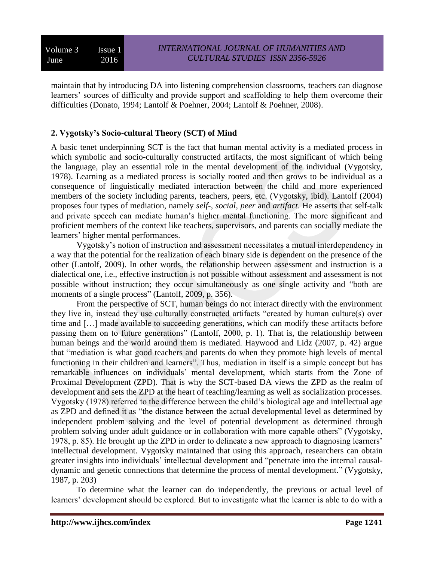maintain that by introducing DA into listening comprehension classrooms, teachers can diagnose learners' sources of difficulty and provide support and scaffolding to help them overcome their difficulties (Donato, 1994; Lantolf & Poehner, 2004; Lantolf & Poehner, 2008).

# **2. Vygotsky's Socio-cultural Theory (SCT) of Mind**

A basic tenet underpinning SCT is the fact that human mental activity is a mediated process in which symbolic and socio-culturally constructed artifacts, the most significant of which being the language, play an essential role in the mental development of the individual (Vygotsky, 1978). Learning as a mediated process is socially rooted and then grows to be individual as a consequence of linguistically mediated interaction between the child and more experienced members of the society including parents, teachers, peers, etc. (Vygotsky, ibid). Lantolf (2004) proposes four types of mediation, namely *self*-, *social*, *peer* and *artifact*. He asserts that self-talk and private speech can mediate human's higher mental functioning. The more significant and proficient members of the context like teachers, supervisors, and parents can socially mediate the learners' higher mental performances.

Vygotsky's notion of instruction and assessment necessitates a mutual interdependency in a way that the potential for the realization of each binary side is dependent on the presence of the other (Lantolf, 2009). In other words, the relationship between assessment and instruction is a dialectical one, i.e., effective instruction is not possible without assessment and assessment is not possible without instruction; they occur simultaneously as one single activity and "both are moments of a single process" (Lantolf, 2009, p. 356).

From the perspective of SCT, human beings do not interact directly with the environment they live in, instead they use culturally constructed artifacts "created by human culture(s) over time and […] made available to succeeding generations, which can modify these artifacts before passing them on to future generations" (Lantolf, 2000, p. 1). That is, the relationship between human beings and the world around them is mediated. Haywood and Lidz (2007, p. 42) argue that "mediation is what good teachers and parents do when they promote high levels of mental functioning in their children and learners". Thus, mediation in itself is a simple concept but has remarkable influences on individuals' mental development, which starts from the Zone of Proximal Development (ZPD). That is why the SCT-based DA views the ZPD as the realm of development and sets the ZPD at the heart of teaching/learning as well as socialization processes. Vygotsky (1978) referred to the difference between the child's biological age and intellectual age as ZPD and defined it as "the distance between the actual developmental level as determined by independent problem solving and the level of potential development as determined through problem solving under adult guidance or in collaboration with more capable others" (Vygotsky, 1978, p. 85). He brought up the ZPD in order to delineate a new approach to diagnosing learners' intellectual development. Vygotsky maintained that using this approach, researchers can obtain greater insights into individuals' intellectual development and "penetrate into the internal causaldynamic and genetic connections that determine the process of mental development." (Vygotsky, 1987, p. 203)

To determine what the learner can do independently, the previous or actual level of learners' development should be explored. But to investigate what the learner is able to do with a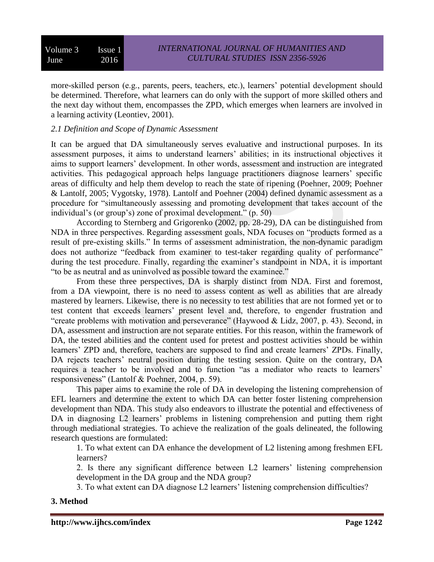more-skilled person (e.g., parents, peers, teachers, etc.), learners' potential development should be determined. Therefore, what learners can do only with the support of more skilled others and the next day without them, encompasses the ZPD, which emerges when learners are involved in a learning activity (Leontiev, 2001).

# *2.1 Definition and Scope of Dynamic Assessment*

It can be argued that DA simultaneously serves evaluative and instructional purposes. In its assessment purposes, it aims to understand learners' abilities; in its instructional objectives it aims to support learners' development. In other words, assessment and instruction are integrated activities. This pedagogical approach helps language practitioners diagnose learners' specific areas of difficulty and help them develop to reach the state of ripening (Poehner, 2009; Poehner & Lantolf, 2005; Vygotsky, 1978). Lantolf and Poehner (2004) defined dynamic assessment as a procedure for "simultaneously assessing and promoting development that takes account of the individual's (or group's) zone of proximal development." (p. 50)

According to Sternberg and Grigorenko (2002, pp. 28-29), DA can be distinguished from NDA in three perspectives. Regarding assessment goals, NDA focuses on "products formed as a result of pre-existing skills." In terms of assessment administration, the non-dynamic paradigm does not authorize "feedback from examiner to test-taker regarding quality of performance" during the test procedure. Finally, regarding the examiner's standpoint in NDA, it is important "to be as neutral and as uninvolved as possible toward the examinee."

From these three perspectives, DA is sharply distinct from NDA. First and foremost, from a DA viewpoint, there is no need to assess content as well as abilities that are already mastered by learners. Likewise, there is no necessity to test abilities that are not formed yet or to test content that exceeds learners' present level and, therefore, to engender frustration and "create problems with motivation and perseverance" (Haywood & Lidz, 2007, p. 43). Second, in DA, assessment and instruction are not separate entities. For this reason, within the framework of DA, the tested abilities and the content used for pretest and posttest activities should be within learners' ZPD and, therefore, teachers are supposed to find and create learners' ZPDs. Finally, DA rejects teachers' neutral position during the testing session. Quite on the contrary, DA requires a teacher to be involved and to function "as a mediator who reacts to learners' responsiveness" (Lantolf & Poehner, 2004, p. 59).

This paper aims to examine the role of DA in developing the listening comprehension of EFL learners and determine the extent to which DA can better foster listening comprehension development than NDA. This study also endeavors to illustrate the potential and effectiveness of DA in diagnosing L2 learners' problems in listening comprehension and putting them right through mediational strategies. To achieve the realization of the goals delineated, the following research questions are formulated:

1. To what extent can DA enhance the development of L2 listening among freshmen EFL learners?

2. Is there any significant difference between L2 learners' listening comprehension development in the DA group and the NDA group?

3. To what extent can DA diagnose L2 learners' listening comprehension difficulties?

#### **3. Method**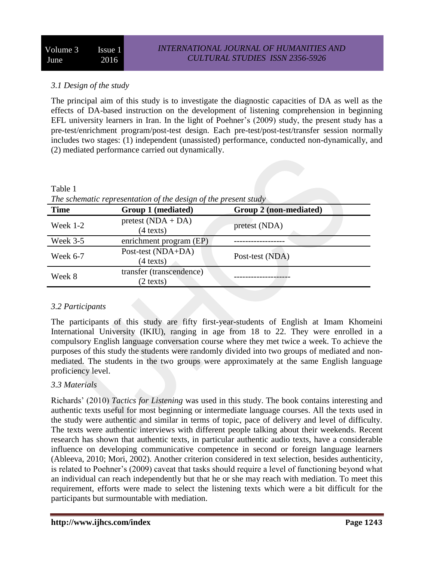# *3.1 Design of the study*

The principal aim of this study is to investigate the diagnostic capacities of DA as well as the effects of DA-based instruction on the development of listening comprehension in beginning EFL university learners in Iran. In the light of Poehner's (2009) study, the present study has a pre-test/enrichment program/post-test design. Each pre-test/post-test/transfer session normally includes two stages: (1) independent (unassisted) performance, conducted non-dynamically, and (2) mediated performance carried out dynamically.

| The schematic representation of the design of the present study |                                                 |                        |  |  |  |
|-----------------------------------------------------------------|-------------------------------------------------|------------------------|--|--|--|
| <b>Time</b>                                                     | Group 1 (mediated)                              | Group 2 (non-mediated) |  |  |  |
| Week $1-2$                                                      | $pretest (NDA + DA)$<br>$(4 \text{ texts})$     | pretest (NDA)          |  |  |  |
| Week $3-5$                                                      | enrichment program (EP)                         |                        |  |  |  |
| Week 6-7                                                        | Post-test (NDA+DA)<br>$(4 \text{ texts})$       | Post-test (NDA)        |  |  |  |
| Week 8                                                          | transfer (transcendence)<br>$(2 \text{ texts})$ |                        |  |  |  |

*The schematic representation of the design of the present study*

# *3.2 Participants*

Table 1

The participants of this study are fifty first-year-students of English at Imam Khomeini International University (IKIU), ranging in age from 18 to 22. They were enrolled in a compulsory English language conversation course where they met twice a week. To achieve the purposes of this study the students were randomly divided into two groups of mediated and nonmediated. The students in the two groups were approximately at the same English language proficiency level.

# *3.3 Materials*

Richards' (2010) *Tactics for Listening* was used in this study. The book contains interesting and authentic texts useful for most beginning or intermediate language courses. All the texts used in the study were authentic and similar in terms of topic, pace of delivery and level of difficulty. The texts were authentic interviews with different people talking about their weekends. Recent research has shown that authentic texts, in particular authentic audio texts, have a considerable influence on developing communicative competence in second or foreign language learners (Ableeva, 2010; Mori, 2002). Another criterion considered in text selection, besides authenticity, is related to Poehner's (2009) caveat that tasks should require a level of functioning beyond what an individual can reach independently but that he or she may reach with mediation. To meet this requirement, efforts were made to select the listening texts which were a bit difficult for the participants but surmountable with mediation.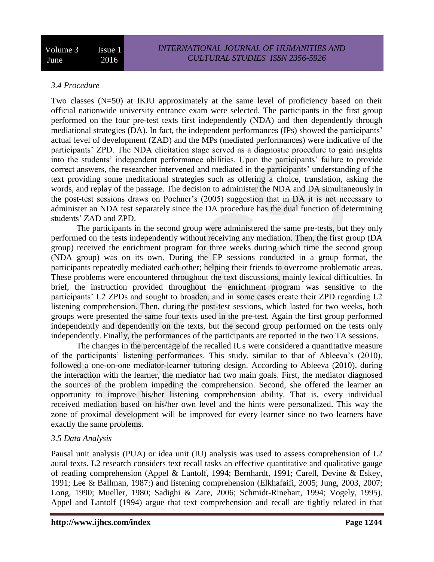#### *3.4 Procedure*

Two classes  $(N=50)$  at IKIU approximately at the same level of proficiency based on their official nationwide university entrance exam were selected. The participants in the first group performed on the four pre-test texts first independently (NDA) and then dependently through mediational strategies (DA). In fact, the independent performances (IPs) showed the participants' actual level of development (ZAD) and the MPs (mediated performances) were indicative of the participants' ZPD. The NDA elicitation stage served as a diagnostic procedure to gain insights into the students' independent performance abilities. Upon the participants' failure to provide correct answers, the researcher intervened and mediated in the participants' understanding of the text providing some meditational strategies such as offering a choice, translation, asking the words, and replay of the passage. The decision to administer the NDA and DA simultaneously in the post-test sessions draws on Poehner's (2005) suggestion that in DA it is not necessary to administer an NDA test separately since the DA procedure has the dual function of determining students' ZAD and ZPD.

The participants in the second group were administered the same pre-tests, but they only performed on the tests independently without receiving any mediation. Then, the first group (DA group) received the enrichment program for three weeks during which time the second group (NDA group) was on its own. During the EP sessions conducted in a group format, the participants repeatedly mediated each other; helping their friends to overcome problematic areas. These problems were encountered throughout the text discussions, mainly lexical difficulties. In brief, the instruction provided throughout the enrichment program was sensitive to the participants' L2 ZPDs and sought to broaden, and in some cases create their ZPD regarding L2 listening comprehension. Then, during the post-test sessions, which lasted for two weeks, both groups were presented the same four texts used in the pre-test. Again the first group performed independently and dependently on the texts, but the second group performed on the tests only independently. Finally, the performances of the participants are reported in the two TA sessions.

The changes in the percentage of the recalled IUs were considered a quantitative measure of the participants' listening performances. This study, similar to that of Ableeva's (2010), followed a one-on-one mediator-learner tutoring design. According to Ableeva (2010), during the interaction with the learner, the mediator had two main goals. First, the mediator diagnosed the sources of the problem impeding the comprehension. Second, she offered the learner an opportunity to improve his/her listening comprehension ability. That is, every individual received mediation based on his/her own level and the hints were personalized. This way the zone of proximal development will be improved for every learner since no two learners have exactly the same problems.

#### *3.5 Data Analysis*

Pausal unit analysis (PUA) or idea unit (IU) analysis was used to assess comprehension of L2 aural texts. L2 research considers text recall tasks an effective quantitative and qualitative gauge of reading comprehension (Appel & Lantolf, 1994; Bernhardt, 1991; Carell, Devine & Eskey, 1991; Lee & Ballman, 1987;) and listening comprehension (Elkhafaifi, 2005; Jung, 2003, 2007; Long, 1990; Mueller, 1980; Sadighi & Zare, 2006; Schmidt-Rinehart, 1994; Vogely, 1995). Appel and Lantolf (1994) argue that text comprehension and recall are tightly related in that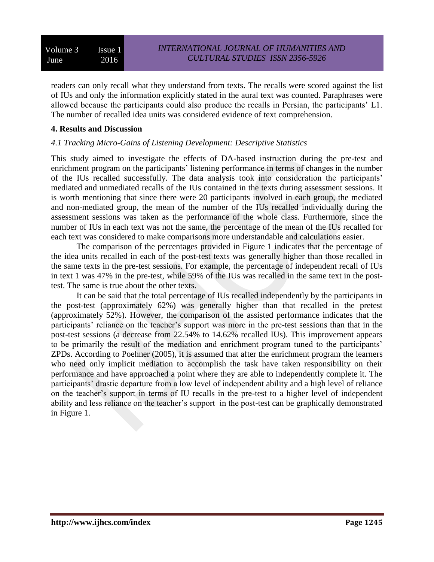readers can only recall what they understand from texts. The recalls were scored against the list of IUs and only the information explicitly stated in the aural text was counted. Paraphrases were allowed because the participants could also produce the recalls in Persian, the participants' L1. The number of recalled idea units was considered evidence of text comprehension.

#### **4. Results and Discussion**

# *4.1 Tracking Micro-Gains of Listening Development: Descriptive Statistics*

This study aimed to investigate the effects of DA-based instruction during the pre-test and enrichment program on the participants' listening performance in terms of changes in the number of the IUs recalled successfully. The data analysis took into consideration the participants' mediated and unmediated recalls of the IUs contained in the texts during assessment sessions. It is worth mentioning that since there were 20 participants involved in each group, the mediated and non-mediated group, the mean of the number of the IUs recalled individually during the assessment sessions was taken as the performance of the whole class. Furthermore, since the number of IUs in each text was not the same, the percentage of the mean of the IUs recalled for each text was considered to make comparisons more understandable and calculations easier.

The comparison of the percentages provided in Figure 1 indicates that the percentage of the idea units recalled in each of the post-test texts was generally higher than those recalled in the same texts in the pre-test sessions. For example, the percentage of independent recall of IUs in text 1 was 47% in the pre-test, while 59% of the IUs was recalled in the same text in the posttest. The same is true about the other texts.

It can be said that the total percentage of IUs recalled independently by the participants in the post-test (approximately 62%) was generally higher than that recalled in the pretest (approximately 52%). However, the comparison of the assisted performance indicates that the participants' reliance on the teacher's support was more in the pre-test sessions than that in the post-test sessions (a decrease from 22.54% to 14.62% recalled IUs). This improvement appears to be primarily the result of the mediation and enrichment program tuned to the participants' ZPDs. According to Poehner (2005), it is assumed that after the enrichment program the learners who need only implicit mediation to accomplish the task have taken responsibility on their performance and have approached a point where they are able to independently complete it. The participants' drastic departure from a low level of independent ability and a high level of reliance on the teacher's support in terms of IU recalls in the pre-test to a higher level of independent ability and less reliance on the teacher's support in the post-test can be graphically demonstrated in Figure 1.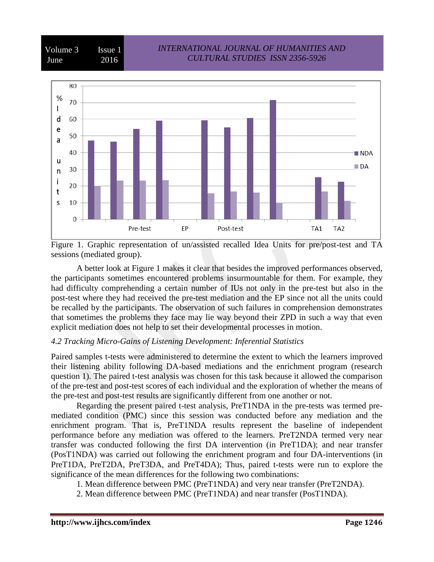



Figure 1. Graphic representation of un/assisted recalled Idea Units for pre/post-test and TA sessions (mediated group).

A better look at Figure 1 makes it clear that besides the improved performances observed, the participants sometimes encountered problems insurmountable for them. For example, they had difficulty comprehending a certain number of IUs not only in the pre-test but also in the post-test where they had received the pre-test mediation and the EP since not all the units could be recalled by the participants. The observation of such failures in comprehension demonstrates that sometimes the problems they face may lie way beyond their ZPD in such a way that even explicit mediation does not help to set their developmental processes in motion.

#### *4.2 Tracking Micro-Gains of Listening Development: Inferential Statistics*

Paired samples t-tests were administered to determine the extent to which the learners improved their listening ability following DA-based mediations and the enrichment program (research question 1). The paired t-test analysis was chosen for this task because it allowed the comparison of the pre-test and post-test scores of each individual and the exploration of whether the means of the pre-test and post-test results are significantly different from one another or not.

Regarding the present paired t-test analysis, PreT1NDA in the pre-tests was termed premediated condition (PMC) since this session was conducted before any mediation and the enrichment program. That is, PreT1NDA results represent the baseline of independent performance before any mediation was offered to the learners. PreT2NDA termed very near transfer was conducted following the first DA intervention (in PreT1DA); and near transfer (PosT1NDA) was carried out following the enrichment program and four DA-interventions (in PreT1DA, PreT2DA, PreT3DA, and PreT4DA); Thus, paired t-tests were run to explore the significance of the mean differences for the following two combinations:

- 1. Mean difference between PMC (PreT1NDA) and very near transfer (PreT2NDA).
- 2. Mean difference between PMC (PreT1NDA) and near transfer (PosT1NDA).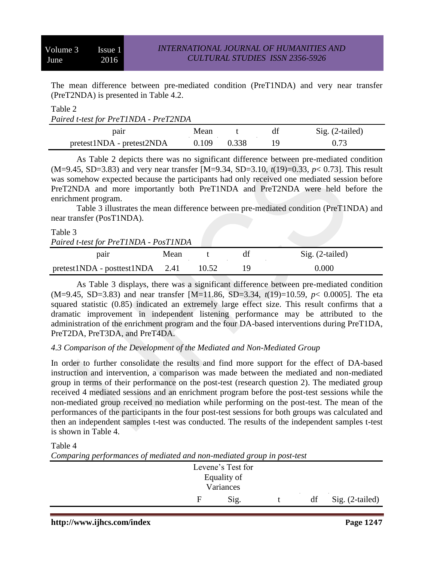The mean difference between pre-mediated condition (PreT1NDA) and very near transfer (PreT2NDA) is presented in Table 4.2.

#### Table 2 *Paired t-test for PreT1NDA - PreT2NDA*

| $\mu$ and $\mu$ is not be in the control of $\mu$ |       |       |  |                   |  |
|---------------------------------------------------|-------|-------|--|-------------------|--|
| pair                                              | Mean  |       |  | $Sig. (2-tailed)$ |  |
| pretest1NDA - pretest2NDA                         | 0.109 | 0.338 |  | 0.73              |  |

As Table 2 depicts there was no significant difference between pre-mediated condition (M=9.45, SD=3.83) and very near transfer [M=9.34, SD=3.10, *t*(19)=0.33, *p*< 0.73]. This result was somehow expected because the participants had only received one mediated session before PreT2NDA and more importantly both PreT1NDA and PreT2NDA were held before the enrichment program.

Table 3 illustrates the mean difference between pre-mediated condition (PreT1NDA) and near transfer (PosT1NDA).

# Table 3 *Paired t-test for PreT1NDA - PosT1NDA* pair Mean t df Sig. (2-tailed) pretest1NDA - posttest1NDA 2.41 10.52 19 0.000

As Table 3 displays, there was a significant difference between pre-mediated condition (M=9.45, SD=3.83) and near transfer [M=11.86, SD=3.34, *t*(19)=10.59, *p*< 0.0005]. The eta squared statistic (0.85) indicated an extremely large effect size. This result confirms that a dramatic improvement in independent listening performance may be attributed to the administration of the enrichment program and the four DA-based interventions during PreT1DA, PreT2DA, PreT3DA, and PreT4DA.

# *4.3 Comparison of the Development of the Mediated and Non-Mediated Group*

In order to further consolidate the results and find more support for the effect of DA-based instruction and intervention, a comparison was made between the mediated and non-mediated group in terms of their performance on the post-test (research question 2). The mediated group received 4 mediated sessions and an enrichment program before the post-test sessions while the non-mediated group received no mediation while performing on the post-test. The mean of the performances of the participants in the four post-test sessions for both groups was calculated and then an independent samples t-test was conducted. The results of the independent samples t-test is shown in Table 4.

#### Table 4

*Comparing performances of mediated and non-mediated group in post-test*

| $\sim$ |                   |    |                 |
|--------|-------------------|----|-----------------|
|        | Levene's Test for |    |                 |
|        | Equality of       |    |                 |
|        | Variances         |    |                 |
|        | Sig.              | df | Sig. (2-tailed) |
|        |                   |    |                 |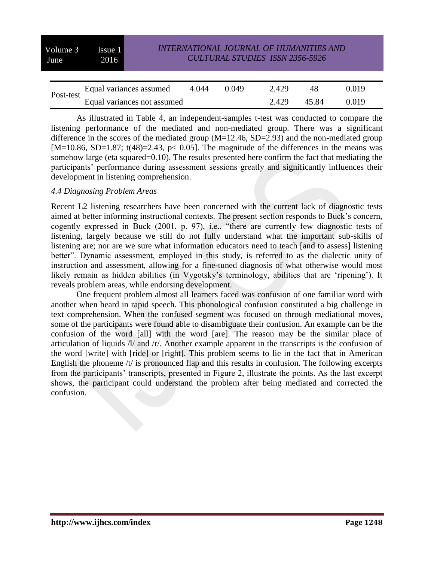| Volume 3<br>June.                    | Issue 1<br>2016             |       |       |       | <b>INTERNATIONAL JOURNAL OF HUMANITIES AND</b><br><b>CULTURAL STUDIES ISSN 2356-5926</b> |       |       |  |
|--------------------------------------|-----------------------------|-------|-------|-------|------------------------------------------------------------------------------------------|-------|-------|--|
|                                      |                             |       |       |       |                                                                                          |       |       |  |
| Equal variances assumed<br>Post-test |                             | 4.044 | 0.049 | 2.429 | 48                                                                                       | 0.019 |       |  |
|                                      | Equal variances not assumed |       |       |       | 2.429                                                                                    | 45.84 | 0.019 |  |

As illustrated in Table 4, an independent-samples t-test was conducted to compare the listening performance of the mediated and non-mediated group. There was a significant difference in the scores of the mediated group  $(M=12.46, SD=2.93)$  and the non-mediated group [M=10.86, SD=1.87; t(48)=2.43, p< 0.05]. The magnitude of the differences in the means was somehow large (eta squared=0.10). The results presented here confirm the fact that mediating the participants' performance during assessment sessions greatly and significantly influences their development in listening comprehension.

#### *4.4 Diagnosing Problem Areas*

Recent L2 listening researchers have been concerned with the current lack of diagnostic tests aimed at better informing instructional contexts. The present section responds to Buck's concern, cogently expressed in Buck (2001, p. 97), i.e., "there are currently few diagnostic tests of listening, largely because we still do not fully understand what the important sub-skills of listening are; nor are we sure what information educators need to teach [and to assess] listening better". Dynamic assessment, employed in this study, is referred to as the dialectic unity of instruction and assessment, allowing for a fine-tuned diagnosis of what otherwise would most likely remain as hidden abilities (in Vygotsky's terminology, abilities that are 'ripening'). It reveals problem areas, while endorsing development.

One frequent problem almost all learners faced was confusion of one familiar word with another when heard in rapid speech. This phonological confusion constituted a big challenge in text comprehension. When the confused segment was focused on through mediational moves, some of the participants were found able to disambiguate their confusion. An example can be the confusion of the word [all] with the word [are]. The reason may be the similar place of articulation of liquids /l/ and /r/. Another example apparent in the transcripts is the confusion of the word [write] with [ride] or [right]. This problem seems to lie in the fact that in American English the phoneme /t/ is pronounced flap and this results in confusion. The following excerpts from the participants' transcripts, presented in Figure 2, illustrate the points. As the last excerpt shows, the participant could understand the problem after being mediated and corrected the confusion.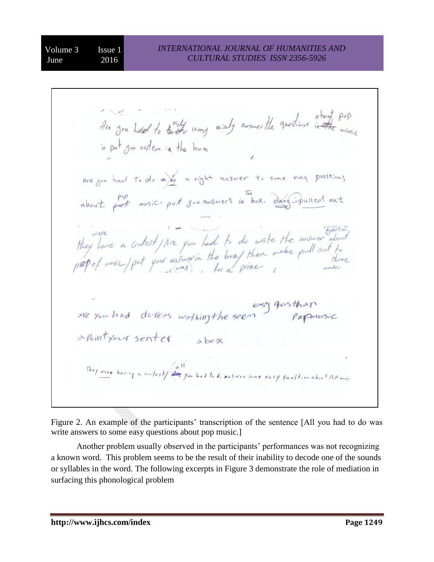Are you have to these reasy analy answer the question in the minimal in put you settem in the bone Are you had to do a) a right answer to same easy quastions about part music. put you answers in box. dang Spulled out they have a certest / Are you had to do write the arriver about<br>peopof music / put your arriver in the boas then make pull out to easy quisthan<br>are you had duress wothing the seen papmusic apointy our senter abox They were having a contest/ all you had to do answer some easy question about Pop music

Figure 2. An example of the participants' transcription of the sentence [All you had to do was write answers to some easy questions about pop music.]

Another problem usually observed in the participants' performances was not recognizing a known word. This problem seems to be the result of their inability to decode one of the sounds or syllables in the word. The following excerpts in Figure 3 demonstrate the role of mediation in surfacing this phonological problem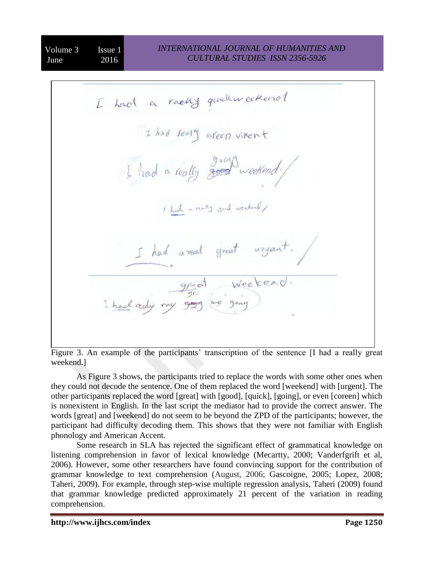I had a racky quick weekend I had Jealy oreen vikent I had a really going weekend! I had a really gard weekend / I had a real great urgant. great Weekend.<br>gr:<br>gray we gang

Figure 3. An example of the participants' transcription of the sentence [I had a really great weekend.]

As Figure 3 shows, the participants tried to replace the words with some other ones when they could not decode the sentence. One of them replaced the word [weekend] with [urgent]. The other participants replaced the word [great] with [good], [quick], [going], or even [coreen] which is nonexistent in English. In the last script the mediator had to provide the correct answer. The words [great] and [weekend] do not seem to be beyond the ZPD of the participants; however, the participant had difficulty decoding them. This shows that they were not familiar with English phonology and American Accent.

Some research in SLA has rejected the significant effect of grammatical knowledge on listening comprehension in favor of lexical knowledge (Mecartty, 2000; Vanderfgrift et al, 2006). However, some other researchers have found convincing support for the contribution of grammar knowledge to text comprehension (August, 2006; Gascoigne, 2005; Lopez, 2008; Taheri, 2009). For example, through step-wise multiple regression analysis, Taheri (2009) found that grammar knowledge predicted approximately 21 percent of the variation in reading comprehension.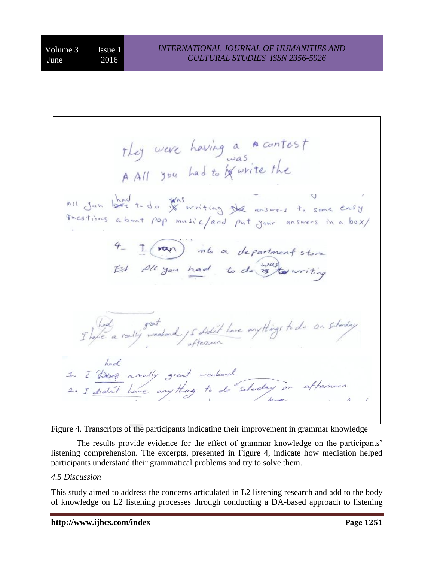They were having a **A** contest<br>A All you had to if write the all Jon bard to do Was writing the answers to some ensy 4 - I non into a department store That a really weekend 15 didn't have anythings to do on schoolay 1. I Dess areally great weakend<br>2. I didn't have anything to do steaday on afternoon

Figure 4. Transcripts of the participants indicating their improvement in grammar knowledge

The results provide evidence for the effect of grammar knowledge on the participants' listening comprehension. The excerpts, presented in Figure 4, indicate how mediation helped participants understand their grammatical problems and try to solve them.

# *4.5 Discussion*

This study aimed to address the concerns articulated in L2 listening research and add to the body of knowledge on L2 listening processes through conducting a DA-based approach to listening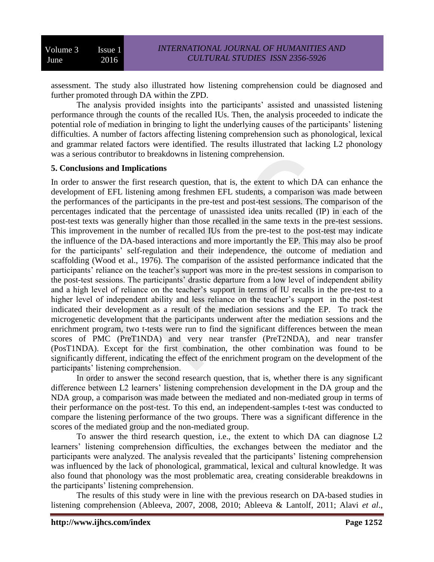assessment. The study also illustrated how listening comprehension could be diagnosed and further promoted through DA within the ZPD.

The analysis provided insights into the participants' assisted and unassisted listening performance through the counts of the recalled IUs. Then, the analysis proceeded to indicate the potential role of mediation in bringing to light the underlying causes of the participants' listening difficulties. A number of factors affecting listening comprehension such as phonological, lexical and grammar related factors were identified. The results illustrated that lacking L2 phonology was a serious contributor to breakdowns in listening comprehension.

# **5. Conclusions and Implications**

In order to answer the first research question, that is, the extent to which DA can enhance the development of EFL listening among freshmen EFL students, a comparison was made between the performances of the participants in the pre-test and post-test sessions. The comparison of the percentages indicated that the percentage of unassisted idea units recalled (IP) in each of the post-test texts was generally higher than those recalled in the same texts in the pre-test sessions. This improvement in the number of recalled IUs from the pre-test to the post-test may indicate the influence of the DA-based interactions and more importantly the EP. This may also be proof for the participants' self-regulation and their independence, the outcome of mediation and scaffolding (Wood et al., 1976). The comparison of the assisted performance indicated that the participants' reliance on the teacher's support was more in the pre-test sessions in comparison to the post-test sessions. The participants' drastic departure from a low level of independent ability and a high level of reliance on the teacher's support in terms of IU recalls in the pre-test to a higher level of independent ability and less reliance on the teacher's support in the post-test indicated their development as a result of the mediation sessions and the EP. To track the microgenetic development that the participants underwent after the mediation sessions and the enrichment program, two t-tests were run to find the significant differences between the mean scores of PMC (PreT1NDA) and very near transfer (PreT2NDA), and near transfer (PosT1NDA). Except for the first combination, the other combination was found to be significantly different, indicating the effect of the enrichment program on the development of the participants' listening comprehension.

In order to answer the second research question, that is, whether there is any significant difference between L2 learners' listening comprehension development in the DA group and the NDA group, a comparison was made between the mediated and non-mediated group in terms of their performance on the post-test. To this end, an independent-samples t-test was conducted to compare the listening performance of the two groups. There was a significant difference in the scores of the mediated group and the non-mediated group.

To answer the third research question, i.e., the extent to which DA can diagnose L2 learners' listening comprehension difficulties, the exchanges between the mediator and the participants were analyzed. The analysis revealed that the participants' listening comprehension was influenced by the lack of phonological, grammatical, lexical and cultural knowledge. It was also found that phonology was the most problematic area, creating considerable breakdowns in the participants' listening comprehension.

The results of this study were in line with the previous research on DA-based studies in listening comprehension (Ableeva, 2007, 2008, 2010; Ableeva & Lantolf, 2011; Alavi *et al*.,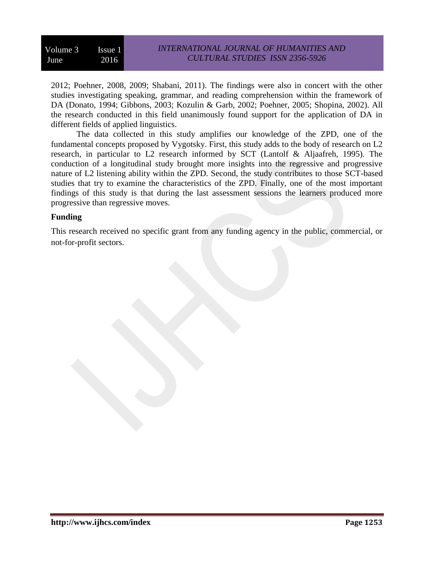| Volume 3 Issue 1 |      | <i><b>INTERNATIONAL JOURNAL OF HUMANITIES AND</b></i> |
|------------------|------|-------------------------------------------------------|
| June             | 2016 | <b>CULTURAL STUDIES ISSN 2356-5926</b>                |

2012; Poehner, 2008, 2009; Shabani, 2011). The findings were also in concert with the other studies investigating speaking, grammar, and reading comprehension within the framework of DA (Donato, 1994; Gibbons, 2003; Kozulin & Garb, 2002; Poehner, 2005; Shopina, 2002). All the research conducted in this field unanimously found support for the application of DA in different fields of applied linguistics.

The data collected in this study amplifies our knowledge of the ZPD, one of the fundamental concepts proposed by Vygotsky. First, this study adds to the body of research on L2 research, in particular to L2 research informed by SCT (Lantolf & Aljaafreh, 1995). The conduction of a longitudinal study brought more insights into the regressive and progressive nature of L2 listening ability within the ZPD. Second, the study contributes to those SCT-based studies that try to examine the characteristics of the ZPD. Finally, one of the most important findings of this study is that during the last assessment sessions the learners produced more progressive than regressive moves.

#### **Funding**

This research received no specific grant from any funding agency in the public, commercial, or not-for-profit sectors.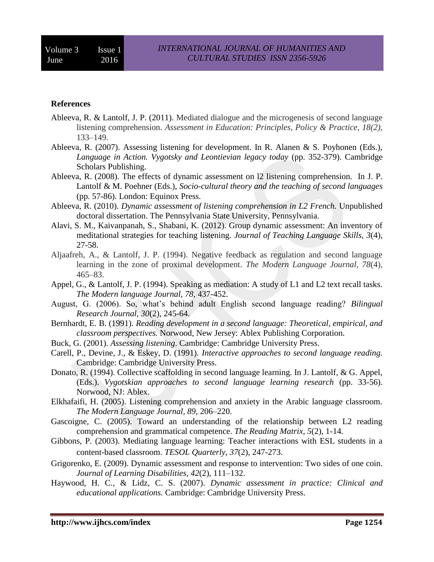#### **References**

- Ableeva, R. & Lantolf, J. P. (2011). Mediated dialogue and the microgenesis of second language listening comprehension. *Assessment in Education: Principles, Policy & Practice, 18(2),* 133–149.
- Ableeva, R. (2007). Assessing listening for development. In R. Alanen & S. Poyhonen (Eds.), *Language in Action. Vygotsky and Leontievian legacy today* (pp. 352-379). Cambridge Scholars Publishing.
- Ableeva, R. (2008). The effects of dynamic assessment on l2 listening comprehension. In J. P. Lantolf & M. Poehner (Eds.), *Socio-cultural theory and the teaching of second languages* (pp. 57-86). London: Equinox Press.
- Ableeva, R. (2010). *Dynamic assessment of listening comprehension in L2 French.* Unpublished doctoral dissertation. The Pennsylvania State University, Pennsylvania.
- Alavi, S. M., Kaivanpanah, S., Shabani, K. (2012). Group dynamic assessment: An inventory of meditational strategies for teaching listening. *Journal of Teaching Language Skills, 3*(4)*,* 27-58.
- Aljaafreh, A., & Lantolf, J. P. (1994). Negative feedback as regulation and second language learning in the zone of proximal development. *The Modern Language Journal, 78*(4)*,* 465–83.
- Appel, G., & Lantolf, J. P. (1994). Speaking as mediation: A study of L1 and L2 text recall tasks. *The Modern language Journal, 78,* 437-452.
- August, G. (2006). So, what's behind adult English second language reading? *Bilingual Research Journal, 30*(2)*,* 245-64.
- Bernhardt, E. B. (1991). *Reading development in a second language: Theoretical, empirical, and classroom perspectives.* Norwood, New Jersey: Ablex Publishing Corporation.
- Buck, G. (2001). *Assessing listening*. Cambridge: Cambridge University Press.
- Carell, P., Devine, J., & Eskey, D. (1991). *Interactive approaches to second language reading.*  Cambridge: Cambridge University Press.
- Donato, R. (1994). Collective scaffolding in second language learning. In J. Lantolf, & G. Appel, (Eds.). *Vygotskian approaches to second language learning research* (pp. 33-56). Norwood, NJ: Ablex.
- Elkhafaifi, H. (2005). Listening comprehension and anxiety in the Arabic language classroom. *The Modern Language Journal, 89,* 206–220.
- Gascoigne, C. (2005). Toward an understanding of the relationship between L2 reading comprehension and grammatical competence. *The Reading Matrix, 5*(2), 1-14.
- Gibbons, P. (2003). Mediating language learning: Teacher interactions with ESL students in a content-based classroom. *TESOL Quarterly*, *37*(2), 247-273.
- Grigorenko, E. (2009). Dynamic assessment and response to intervention: Two sides of one coin. *Journal of Learning Disabilities, 42*(2), 111–132.
- Haywood, H. C., & Lidz, C. S. (2007). *Dynamic assessment in practice: Clinical and educational applications.* Cambridge: Cambridge University Press.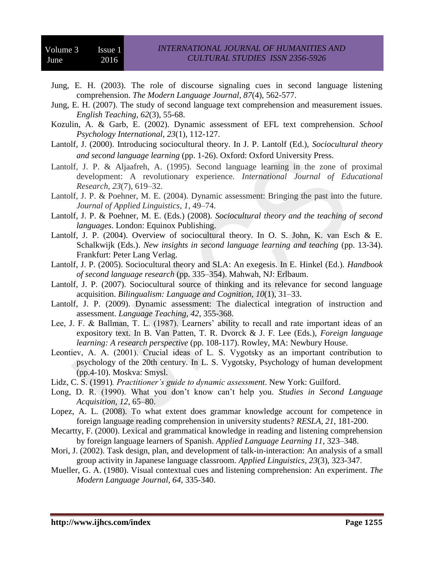- Jung, E. H. (2003). The role of discourse signaling cues in second language listening comprehension. *The Modern Language Journal, 87*(4), 562-577.
- Jung, E. H. (2007). The study of second language text comprehension and measurement issues. *English Teaching, 62*(3), 55-68.
- Kozulin, A. & Garb, E. (2002). Dynamic assessment of EFL text comprehension. *School Psychology International, 23*(1), 112-127.
- Lantolf, J. (2000). Introducing sociocultural theory. In J. P. Lantolf (Ed.), *Sociocultural theory and second language learning* (pp. 1-26). Oxford: Oxford University Press.
- Lantolf, J. P. & Aljaafreh, A. (1995). Second language learning in the zone of proximal development: A revolutionary experience. *International Journal of Educational Research, 23*(7), 619–32.
- Lantolf, J. P. & Poehner, M. E. (2004). Dynamic assessment: Bringing the past into the future. *Journal of Applied Linguistics*, *1*, 49–74.
- Lantolf, J. P. & Poehner, M. E. (Eds.) (2008). *Sociocultural theory and the teaching of second languages*. London: Equinox Publishing.
- Lantolf, J. P. (2004). Overview of sociocultural theory. In O. S. John, K. van Esch & E. Schalkwijk (Eds.). *New insights in second language learning and teaching* (pp. 13-34). Frankfurt: Peter Lang Verlag.
- Lantolf, J. P. (2005). Sociocultural theory and SLA: An exegesis. In E. Hinkel (Ed.). *Handbook of second language research* (pp. 335–354). Mahwah, NJ: Erlbaum.
- Lantolf, J. P. (2007). Sociocultural source of thinking and its relevance for second language acquisition. *Bilingualism: Language and Cognition, 10*(1), 31–33.
- Lantolf, J. P. (2009). Dynamic assessment: The dialectical integration of instruction and assessment. *Language Teaching, 42*, 355-368.
- Lee, J. F. & Ballman, T. L. (1987). Learners' ability to recall and rate important ideas of an expository text. In B. Van Patten, T. R. Dvorck & J. F. Lee (Eds.), *Foreign language learning: A research perspective* (pp. 108-117). Rowley, MA: Newbury House.
- Leontiev, А. А. (2001). Crucial ideas of L. S. Vygotsky as an important contribution to psychology of the 20th century. In L. S. Vygotsky, Psychology of human development (pp.4-10). Moskva: Smysl.
- Lidz, C. S. (1991)*. Practitioner's guide to dynamic assessment*. New York: Guilford.
- Long, D. R. (1990). What you don't know can't help you. *Studies in Second Language Acquisition, 12*, 65–80.
- Lopez, A. L. (2008). To what extent does grammar knowledge account for competence in foreign language reading comprehension in university students? *RESLA, 21,* 181-200.
- Mecartty, F. (2000). Lexical and grammatical knowledge in reading and listening comprehension by foreign language learners of Spanish. *Applied Language Learning 11,* 323–348.
- Mori, J. (2002). Task design, plan, and development of talk-in-interaction: An analysis of a small group activity in Japanese language classroom. *Applied Linguistics, 23*(3), 323-347.
- Mueller, G. A. (1980). Visual contextual cues and listening comprehension: An experiment*. The Modern Language Journal, 64*, 335-340.